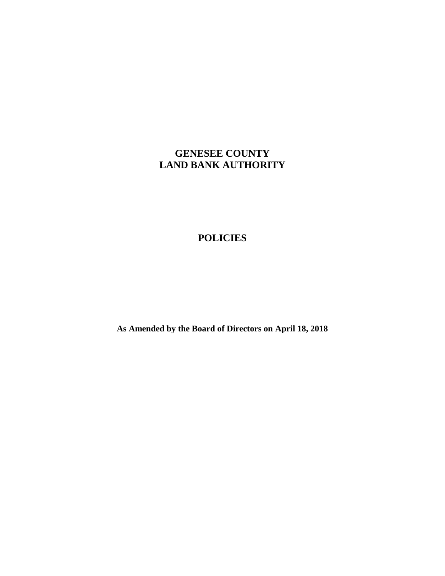# **GENESEE COUNTY LAND BANK AUTHORITY**

# **POLICIES**

**As Amended by the Board of Directors on April 18, 2018**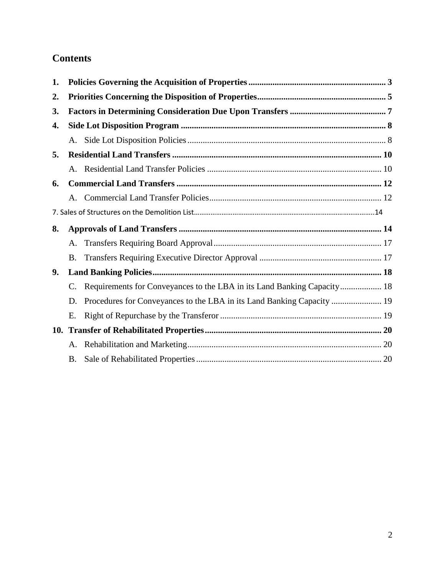# **Contents**

| 1. |    |                                                                         |  |
|----|----|-------------------------------------------------------------------------|--|
| 2. |    |                                                                         |  |
| 3. |    |                                                                         |  |
| 4. |    |                                                                         |  |
|    |    |                                                                         |  |
| 5. |    |                                                                         |  |
|    |    |                                                                         |  |
| 6. |    |                                                                         |  |
|    | A. |                                                                         |  |
|    |    |                                                                         |  |
| 8. |    |                                                                         |  |
|    | A. |                                                                         |  |
|    | B. |                                                                         |  |
| 9. |    |                                                                         |  |
|    | C. | Requirements for Conveyances to the LBA in its Land Banking Capacity 18 |  |
|    | D. | Procedures for Conveyances to the LBA in its Land Banking Capacity  19  |  |
|    | Ε. |                                                                         |  |
|    |    |                                                                         |  |
|    |    |                                                                         |  |
|    |    |                                                                         |  |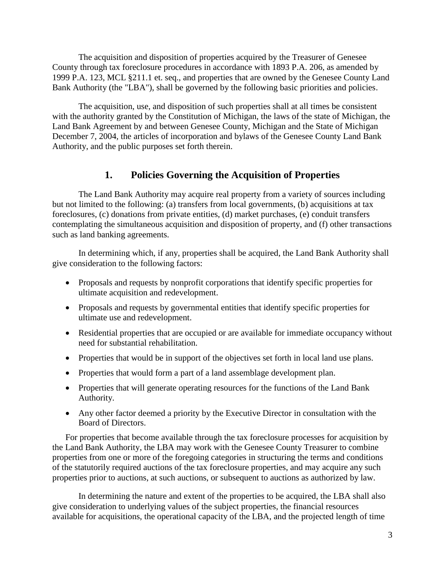The acquisition and disposition of properties acquired by the Treasurer of Genesee County through tax foreclosure procedures in accordance with 1893 P.A. 206, as amended by 1999 P.A. 123, MCL §211.1 et. seq., and properties that are owned by the Genesee County Land Bank Authority (the "LBA"), shall be governed by the following basic priorities and policies.

The acquisition, use, and disposition of such properties shall at all times be consistent with the authority granted by the Constitution of Michigan, the laws of the state of Michigan, the Land Bank Agreement by and between Genesee County, Michigan and the State of Michigan December 7, 2004, the articles of incorporation and bylaws of the Genesee County Land Bank Authority, and the public purposes set forth therein.

#### **1. Policies Governing the Acquisition of Properties**

<span id="page-2-0"></span>The Land Bank Authority may acquire real property from a variety of sources including but not limited to the following: (a) transfers from local governments, (b) acquisitions at tax foreclosures, (c) donations from private entities, (d) market purchases, (e) conduit transfers contemplating the simultaneous acquisition and disposition of property, and (f) other transactions such as land banking agreements.

In determining which, if any, properties shall be acquired, the Land Bank Authority shall give consideration to the following factors:

- Proposals and requests by nonprofit corporations that identify specific properties for ultimate acquisition and redevelopment.
- Proposals and requests by governmental entities that identify specific properties for ultimate use and redevelopment.
- Residential properties that are occupied or are available for immediate occupancy without need for substantial rehabilitation.
- Properties that would be in support of the objectives set forth in local land use plans.
- Properties that would form a part of a land assemblage development plan.
- Properties that will generate operating resources for the functions of the Land Bank Authority.
- Any other factor deemed a priority by the Executive Director in consultation with the Board of Directors.

For properties that become available through the tax foreclosure processes for acquisition by the Land Bank Authority, the LBA may work with the Genesee County Treasurer to combine properties from one or more of the foregoing categories in structuring the terms and conditions of the statutorily required auctions of the tax foreclosure properties, and may acquire any such properties prior to auctions, at such auctions, or subsequent to auctions as authorized by law.

In determining the nature and extent of the properties to be acquired, the LBA shall also give consideration to underlying values of the subject properties, the financial resources available for acquisitions, the operational capacity of the LBA, and the projected length of time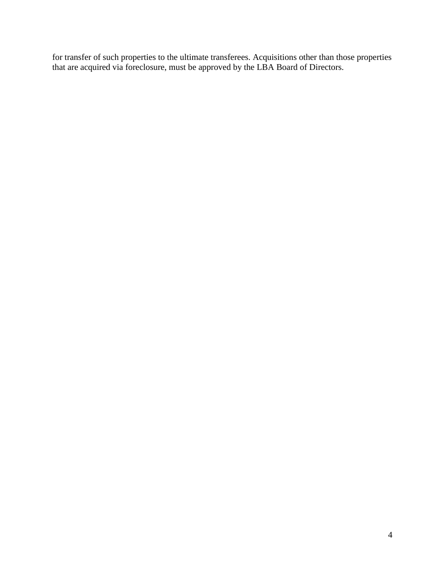for transfer of such properties to the ultimate transferees. Acquisitions other than those properties that are acquired via foreclosure, must be approved by the LBA Board of Directors.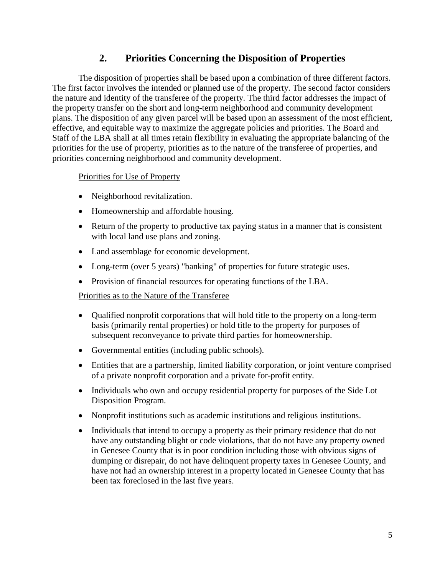#### **2. Priorities Concerning the Disposition of Properties**

<span id="page-4-0"></span>The disposition of properties shall be based upon a combination of three different factors. The first factor involves the intended or planned use of the property. The second factor considers the nature and identity of the transferee of the property. The third factor addresses the impact of the property transfer on the short and long-term neighborhood and community development plans. The disposition of any given parcel will be based upon an assessment of the most efficient, effective, and equitable way to maximize the aggregate policies and priorities. The Board and Staff of the LBA shall at all times retain flexibility in evaluating the appropriate balancing of the priorities for the use of property, priorities as to the nature of the transferee of properties, and priorities concerning neighborhood and community development.

#### Priorities for Use of Property

- Neighborhood revitalization.
- Homeownership and affordable housing.
- Return of the property to productive tax paying status in a manner that is consistent with local land use plans and zoning.
- Land assemblage for economic development.
- Long-term (over 5 years) "banking" of properties for future strategic uses.
- Provision of financial resources for operating functions of the LBA.

#### Priorities as to the Nature of the Transferee

- Qualified nonprofit corporations that will hold title to the property on a long-term basis (primarily rental properties) or hold title to the property for purposes of subsequent reconveyance to private third parties for homeownership.
- Governmental entities (including public schools).
- Entities that are a partnership, limited liability corporation, or joint venture comprised of a private nonprofit corporation and a private for-profit entity.
- Individuals who own and occupy residential property for purposes of the Side Lot Disposition Program.
- Nonprofit institutions such as academic institutions and religious institutions.
- Individuals that intend to occupy a property as their primary residence that do not have any outstanding blight or code violations, that do not have any property owned in Genesee County that is in poor condition including those with obvious signs of dumping or disrepair, do not have delinquent property taxes in Genesee County, and have not had an ownership interest in a property located in Genesee County that has been tax foreclosed in the last five years.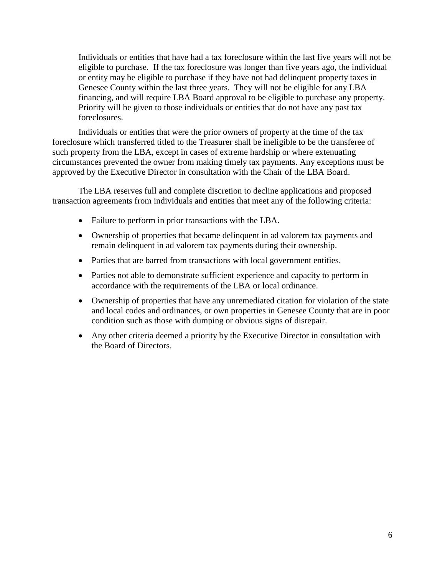Individuals or entities that have had a tax foreclosure within the last five years will not be eligible to purchase. If the tax foreclosure was longer than five years ago, the individual or entity may be eligible to purchase if they have not had delinquent property taxes in Genesee County within the last three years. They will not be eligible for any LBA financing, and will require LBA Board approval to be eligible to purchase any property. Priority will be given to those individuals or entities that do not have any past tax foreclosures.

Individuals or entities that were the prior owners of property at the time of the tax foreclosure which transferred titled to the Treasurer shall be ineligible to be the transferee of such property from the LBA, except in cases of extreme hardship or where extenuating circumstances prevented the owner from making timely tax payments. Any exceptions must be approved by the Executive Director in consultation with the Chair of the LBA Board.

The LBA reserves full and complete discretion to decline applications and proposed transaction agreements from individuals and entities that meet any of the following criteria:

- Failure to perform in prior transactions with the LBA.
- Ownership of properties that became delinquent in ad valorem tax payments and remain delinquent in ad valorem tax payments during their ownership.
- Parties that are barred from transactions with local government entities.
- Parties not able to demonstrate sufficient experience and capacity to perform in accordance with the requirements of the LBA or local ordinance.
- Ownership of properties that have any unremediated citation for violation of the state and local codes and ordinances, or own properties in Genesee County that are in poor condition such as those with dumping or obvious signs of disrepair.
- Any other criteria deemed a priority by the Executive Director in consultation with the Board of Directors.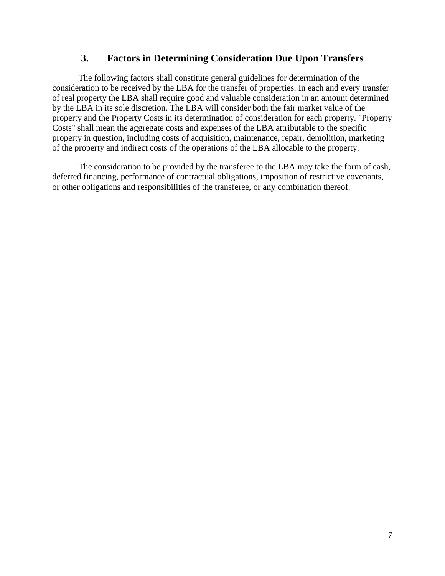#### **3. Factors in Determining Consideration Due Upon Transfers**

<span id="page-6-0"></span>The following factors shall constitute general guidelines for determination of the consideration to be received by the LBA for the transfer of properties. In each and every transfer of real property the LBA shall require good and valuable consideration in an amount determined by the LBA in its sole discretion. The LBA will consider both the fair market value of the property and the Property Costs in its determination of consideration for each property. "Property Costs" shall mean the aggregate costs and expenses of the LBA attributable to the specific property in question, including costs of acquisition, maintenance, repair, demolition, marketing of the property and indirect costs of the operations of the LBA allocable to the property.

The consideration to be provided by the transferee to the LBA may take the form of cash, deferred financing, performance of contractual obligations, imposition of restrictive covenants, or other obligations and responsibilities of the transferee, or any combination thereof.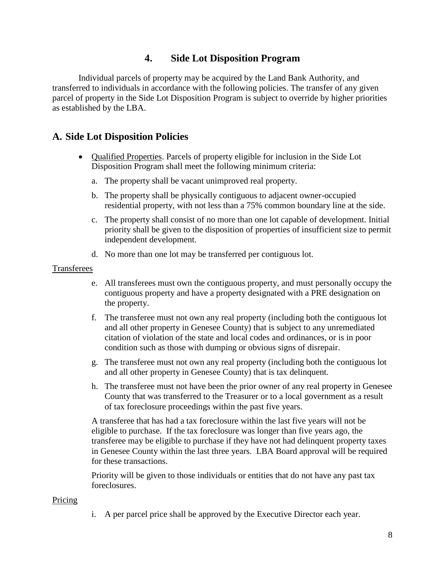#### **4. Side Lot Disposition Program**

<span id="page-7-0"></span>Individual parcels of property may be acquired by the Land Bank Authority, and transferred to individuals in accordance with the following policies. The transfer of any given parcel of property in the Side Lot Disposition Program is subject to override by higher priorities as established by the LBA.

#### <span id="page-7-1"></span>**A. Side Lot Disposition Policies**

- Qualified Properties. Parcels of property eligible for inclusion in the Side Lot Disposition Program shall meet the following minimum criteria:
	- a. The property shall be vacant unimproved real property.
	- b. The property shall be physically contiguous to adjacent owner-occupied residential property, with not less than a 75% common boundary line at the side.
	- c. The property shall consist of no more than one lot capable of development. Initial priority shall be given to the disposition of properties of insufficient size to permit independent development.
	- d. No more than one lot may be transferred per contiguous lot.

#### Transferees

- e. All transferees must own the contiguous property, and must personally occupy the contiguous property and have a property designated with a PRE designation on the property.
- f. The transferee must not own any real property (including both the contiguous lot and all other property in Genesee County) that is subject to any unremediated citation of violation of the state and local codes and ordinances, or is in poor condition such as those with dumping or obvious signs of disrepair.
- g. The transferee must not own any real property (including both the contiguous lot and all other property in Genesee County) that is tax delinquent.
- h. The transferee must not have been the prior owner of any real property in Genesee County that was transferred to the Treasurer or to a local government as a result of tax foreclosure proceedings within the past five years.

A transferee that has had a tax foreclosure within the last five years will not be eligible to purchase. If the tax foreclosure was longer than five years ago, the transferee may be eligible to purchase if they have not had delinquent property taxes in Genesee County within the last three years. LBA Board approval will be required for these transactions.

Priority will be given to those individuals or entities that do not have any past tax foreclosures.

#### Pricing

i. A per parcel price shall be approved by the Executive Director each year.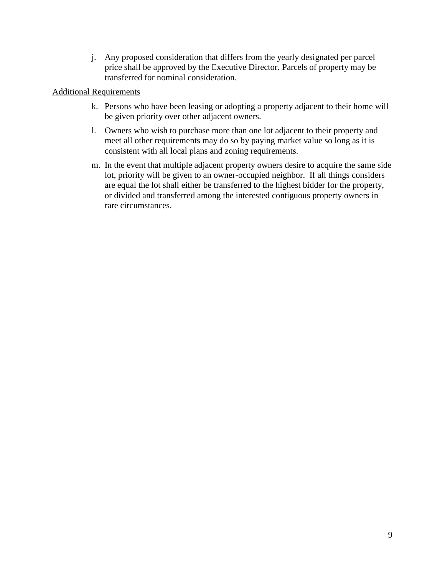j. Any proposed consideration that differs from the yearly designated per parcel price shall be approved by the Executive Director. Parcels of property may be transferred for nominal consideration.

#### Additional Requirements

- k. Persons who have been leasing or adopting a property adjacent to their home will be given priority over other adjacent owners.
- l. Owners who wish to purchase more than one lot adjacent to their property and meet all other requirements may do so by paying market value so long as it is consistent with all local plans and zoning requirements.
- m. In the event that multiple adjacent property owners desire to acquire the same side lot, priority will be given to an owner-occupied neighbor. If all things considers are equal the lot shall either be transferred to the highest bidder for the property, or divided and transferred among the interested contiguous property owners in rare circumstances.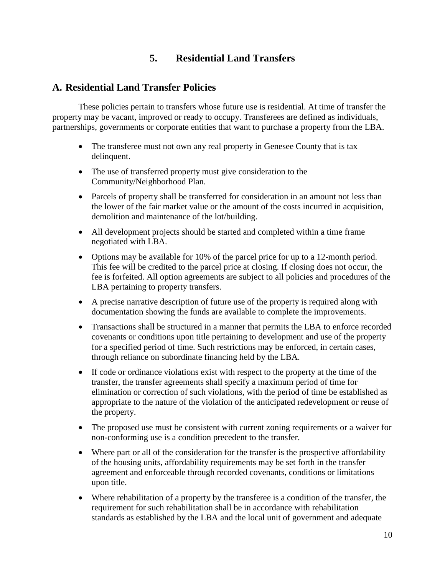## **5. Residential Land Transfers**

#### <span id="page-9-1"></span><span id="page-9-0"></span>**A. Residential Land Transfer Policies**

These policies pertain to transfers whose future use is residential. At time of transfer the property may be vacant, improved or ready to occupy. Transferees are defined as individuals, partnerships, governments or corporate entities that want to purchase a property from the LBA.

- The transferee must not own any real property in Genesee County that is tax delinquent.
- The use of transferred property must give consideration to the Community/Neighborhood Plan.
- Parcels of property shall be transferred for consideration in an amount not less than the lower of the fair market value or the amount of the costs incurred in acquisition, demolition and maintenance of the lot/building.
- All development projects should be started and completed within a time frame negotiated with LBA.
- Options may be available for 10% of the parcel price for up to a 12-month period. This fee will be credited to the parcel price at closing. If closing does not occur, the fee is forfeited. All option agreements are subject to all policies and procedures of the LBA pertaining to property transfers.
- A precise narrative description of future use of the property is required along with documentation showing the funds are available to complete the improvements.
- Transactions shall be structured in a manner that permits the LBA to enforce recorded covenants or conditions upon title pertaining to development and use of the property for a specified period of time. Such restrictions may be enforced, in certain cases, through reliance on subordinate financing held by the LBA.
- If code or ordinance violations exist with respect to the property at the time of the transfer, the transfer agreements shall specify a maximum period of time for elimination or correction of such violations, with the period of time be established as appropriate to the nature of the violation of the anticipated redevelopment or reuse of the property.
- The proposed use must be consistent with current zoning requirements or a waiver for non-conforming use is a condition precedent to the transfer.
- Where part or all of the consideration for the transfer is the prospective affordability of the housing units, affordability requirements may be set forth in the transfer agreement and enforceable through recorded covenants, conditions or limitations upon title.
- Where rehabilitation of a property by the transferee is a condition of the transfer, the requirement for such rehabilitation shall be in accordance with rehabilitation standards as established by the LBA and the local unit of government and adequate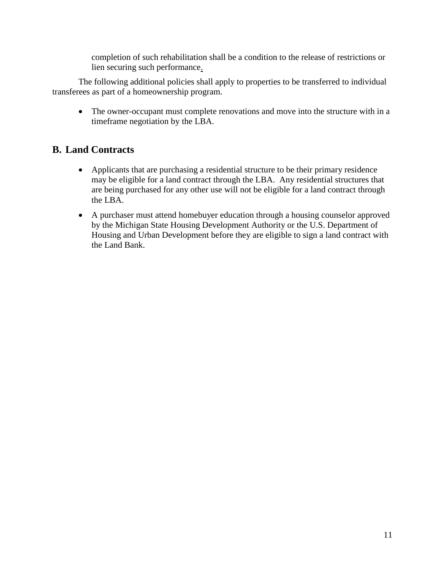completion of such rehabilitation shall be a condition to the release of restrictions or lien securing such performance.

The following additional policies shall apply to properties to be transferred to individual transferees as part of a homeownership program.

• The owner-occupant must complete renovations and move into the structure with in a timeframe negotiation by the LBA.

# **B. Land Contracts**

- Applicants that are purchasing a residential structure to be their primary residence may be eligible for a land contract through the LBA. Any residential structures that are being purchased for any other use will not be eligible for a land contract through the LBA.
- A purchaser must attend homebuyer education through a housing counselor approved by the Michigan State Housing Development Authority or the U.S. Department of Housing and Urban Development before they are eligible to sign a land contract with the Land Bank.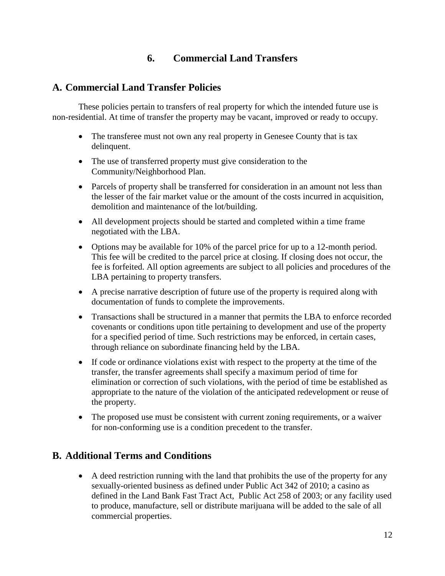### **6. Commercial Land Transfers**

### <span id="page-11-1"></span><span id="page-11-0"></span>**A. Commercial Land Transfer Policies**

These policies pertain to transfers of real property for which the intended future use is non-residential. At time of transfer the property may be vacant, improved or ready to occupy.

- The transferee must not own any real property in Genesee County that is tax delinquent.
- The use of transferred property must give consideration to the Community/Neighborhood Plan.
- Parcels of property shall be transferred for consideration in an amount not less than the lesser of the fair market value or the amount of the costs incurred in acquisition, demolition and maintenance of the lot/building.
- All development projects should be started and completed within a time frame negotiated with the LBA.
- Options may be available for 10% of the parcel price for up to a 12-month period. This fee will be credited to the parcel price at closing. If closing does not occur, the fee is forfeited. All option agreements are subject to all policies and procedures of the LBA pertaining to property transfers.
- A precise narrative description of future use of the property is required along with documentation of funds to complete the improvements.
- Transactions shall be structured in a manner that permits the LBA to enforce recorded covenants or conditions upon title pertaining to development and use of the property for a specified period of time. Such restrictions may be enforced, in certain cases, through reliance on subordinate financing held by the LBA.
- If code or ordinance violations exist with respect to the property at the time of the transfer, the transfer agreements shall specify a maximum period of time for elimination or correction of such violations, with the period of time be established as appropriate to the nature of the violation of the anticipated redevelopment or reuse of the property.
- The proposed use must be consistent with current zoning requirements, or a waiver for non-conforming use is a condition precedent to the transfer.

#### **B. Additional Terms and Conditions**

 A deed restriction running with the land that prohibits the use of the property for any sexually-oriented business as defined under Public Act 342 of 2010; a casino as defined in the Land Bank Fast Tract Act, Public Act 258 of 2003; or any facility used to produce, manufacture, sell or distribute marijuana will be added to the sale of all commercial properties.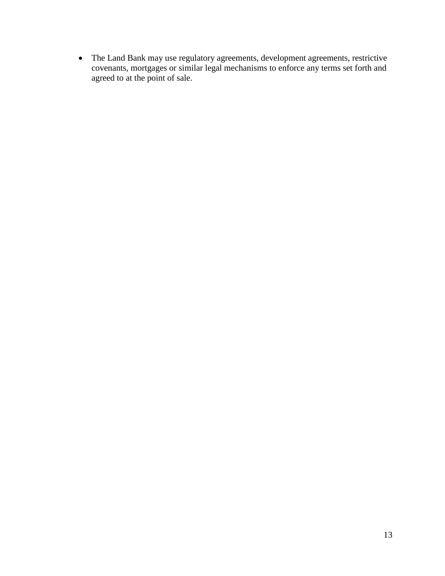The Land Bank may use regulatory agreements, development agreements, restrictive covenants, mortgages or similar legal mechanisms to enforce any terms set forth and agreed to at the point of sale.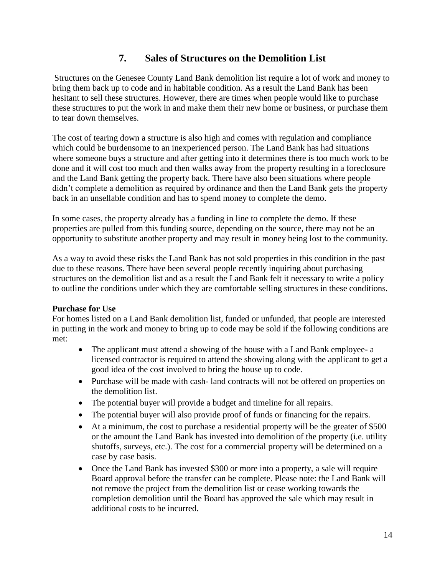# **7. Sales of Structures on the Demolition List**

<span id="page-13-0"></span>Structures on the Genesee County Land Bank demolition list require a lot of work and money to bring them back up to code and in habitable condition. As a result the Land Bank has been hesitant to sell these structures. However, there are times when people would like to purchase these structures to put the work in and make them their new home or business, or purchase them to tear down themselves.

The cost of tearing down a structure is also high and comes with regulation and compliance which could be burdensome to an inexperienced person. The Land Bank has had situations where someone buys a structure and after getting into it determines there is too much work to be done and it will cost too much and then walks away from the property resulting in a foreclosure and the Land Bank getting the property back. There have also been situations where people didn't complete a demolition as required by ordinance and then the Land Bank gets the property back in an unsellable condition and has to spend money to complete the demo.

In some cases, the property already has a funding in line to complete the demo. If these properties are pulled from this funding source, depending on the source, there may not be an opportunity to substitute another property and may result in money being lost to the community.

As a way to avoid these risks the Land Bank has not sold properties in this condition in the past due to these reasons. There have been several people recently inquiring about purchasing structures on the demolition list and as a result the Land Bank felt it necessary to write a policy to outline the conditions under which they are comfortable selling structures in these conditions.

#### **Purchase for Use**

For homes listed on a Land Bank demolition list, funded or unfunded, that people are interested in putting in the work and money to bring up to code may be sold if the following conditions are met:

- The applicant must attend a showing of the house with a Land Bank employee- a licensed contractor is required to attend the showing along with the applicant to get a good idea of the cost involved to bring the house up to code.
- Purchase will be made with cash- land contracts will not be offered on properties on the demolition list.
- The potential buyer will provide a budget and timeline for all repairs.
- The potential buyer will also provide proof of funds or financing for the repairs.
- At a minimum, the cost to purchase a residential property will be the greater of \$500 or the amount the Land Bank has invested into demolition of the property (i.e. utility shutoffs, surveys, etc.). The cost for a commercial property will be determined on a case by case basis.
- Once the Land Bank has invested \$300 or more into a property, a sale will require Board approval before the transfer can be complete. Please note: the Land Bank will not remove the project from the demolition list or cease working towards the completion demolition until the Board has approved the sale which may result in additional costs to be incurred.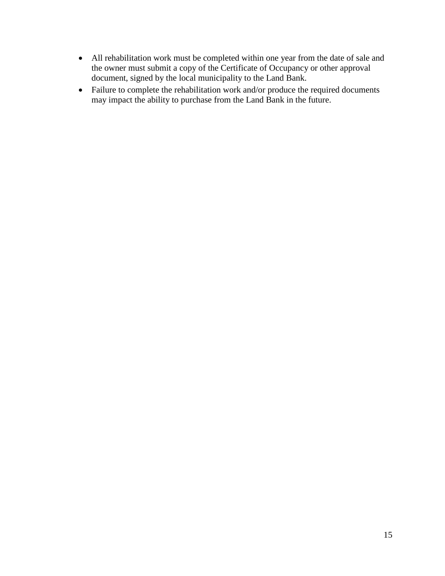- All rehabilitation work must be completed within one year from the date of sale and the owner must submit a copy of the Certificate of Occupancy or other approval document, signed by the local municipality to the Land Bank.
- Failure to complete the rehabilitation work and/or produce the required documents may impact the ability to purchase from the Land Bank in the future.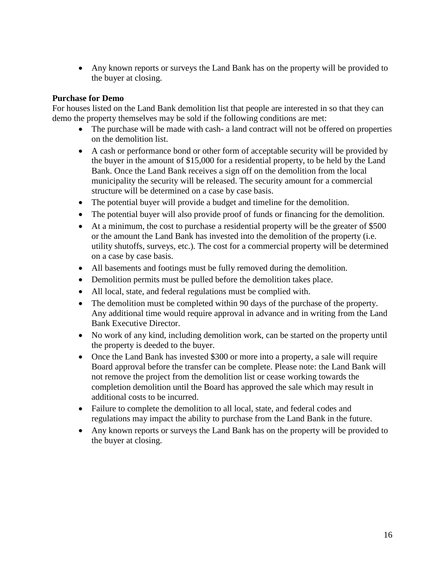Any known reports or surveys the Land Bank has on the property will be provided to the buyer at closing.

#### **Purchase for Demo**

For houses listed on the Land Bank demolition list that people are interested in so that they can demo the property themselves may be sold if the following conditions are met:

- The purchase will be made with cash- a land contract will not be offered on properties on the demolition list.
- A cash or performance bond or other form of acceptable security will be provided by the buyer in the amount of \$15,000 for a residential property, to be held by the Land Bank. Once the Land Bank receives a sign off on the demolition from the local municipality the security will be released. The security amount for a commercial structure will be determined on a case by case basis.
- The potential buyer will provide a budget and timeline for the demolition.
- The potential buyer will also provide proof of funds or financing for the demolition.
- At a minimum, the cost to purchase a residential property will be the greater of \$500 or the amount the Land Bank has invested into the demolition of the property (i.e. utility shutoffs, surveys, etc.). The cost for a commercial property will be determined on a case by case basis.
- All basements and footings must be fully removed during the demolition.
- Demolition permits must be pulled before the demolition takes place.
- All local, state, and federal regulations must be complied with.
- The demolition must be completed within 90 days of the purchase of the property. Any additional time would require approval in advance and in writing from the Land Bank Executive Director.
- No work of any kind, including demolition work, can be started on the property until the property is deeded to the buyer.
- Once the Land Bank has invested \$300 or more into a property, a sale will require Board approval before the transfer can be complete. Please note: the Land Bank will not remove the project from the demolition list or cease working towards the completion demolition until the Board has approved the sale which may result in additional costs to be incurred.
- Failure to complete the demolition to all local, state, and federal codes and regulations may impact the ability to purchase from the Land Bank in the future.
- Any known reports or surveys the Land Bank has on the property will be provided to the buyer at closing.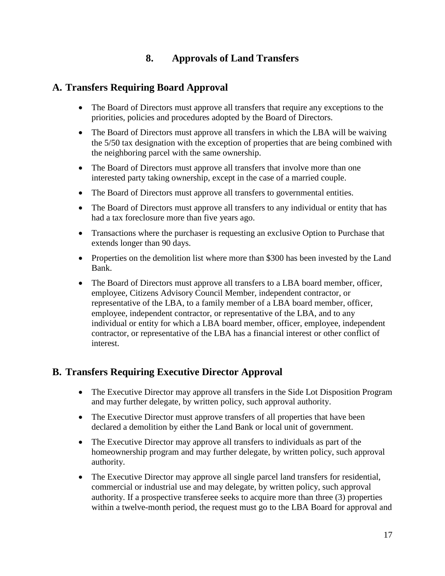# **8. Approvals of Land Transfers**

### <span id="page-16-0"></span>**A. Transfers Requiring Board Approval**

- The Board of Directors must approve all transfers that require any exceptions to the priorities, policies and procedures adopted by the Board of Directors.
- The Board of Directors must approve all transfers in which the LBA will be waiving the 5/50 tax designation with the exception of properties that are being combined with the neighboring parcel with the same ownership.
- The Board of Directors must approve all transfers that involve more than one interested party taking ownership, except in the case of a married couple.
- The Board of Directors must approve all transfers to governmental entities.
- The Board of Directors must approve all transfers to any individual or entity that has had a tax foreclosure more than five years ago.
- Transactions where the purchaser is requesting an exclusive Option to Purchase that extends longer than 90 days.
- Properties on the demolition list where more than \$300 has been invested by the Land Bank.
- The Board of Directors must approve all transfers to a LBA board member, officer, employee, Citizens Advisory Council Member, independent contractor, or representative of the LBA, to a family member of a LBA board member, officer, employee, independent contractor, or representative of the LBA, and to any individual or entity for which a LBA board member, officer, employee, independent contractor, or representative of the LBA has a financial interest or other conflict of interest.

# <span id="page-16-1"></span>**B. Transfers Requiring Executive Director Approval**

- The Executive Director may approve all transfers in the Side Lot Disposition Program and may further delegate, by written policy, such approval authority.
- The Executive Director must approve transfers of all properties that have been declared a demolition by either the Land Bank or local unit of government.
- The Executive Director may approve all transfers to individuals as part of the homeownership program and may further delegate, by written policy, such approval authority.
- The Executive Director may approve all single parcel land transfers for residential, commercial or industrial use and may delegate, by written policy, such approval authority. If a prospective transferee seeks to acquire more than three (3) properties within a twelve-month period, the request must go to the LBA Board for approval and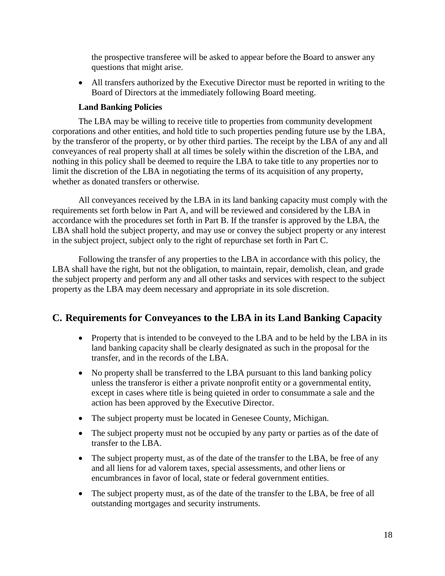the prospective transferee will be asked to appear before the Board to answer any questions that might arise.

 All transfers authorized by the Executive Director must be reported in writing to the Board of Directors at the immediately following Board meeting.

#### **Land Banking Policies**

<span id="page-17-0"></span>The LBA may be willing to receive title to properties from community development corporations and other entities, and hold title to such properties pending future use by the LBA, by the transferor of the property, or by other third parties. The receipt by the LBA of any and all conveyances of real property shall at all times be solely within the discretion of the LBA, and nothing in this policy shall be deemed to require the LBA to take title to any properties nor to limit the discretion of the LBA in negotiating the terms of its acquisition of any property, whether as donated transfers or otherwise.

All conveyances received by the LBA in its land banking capacity must comply with the requirements set forth below in Part A, and will be reviewed and considered by the LBA in accordance with the procedures set forth in Part B. If the transfer is approved by the LBA, the LBA shall hold the subject property, and may use or convey the subject property or any interest in the subject project, subject only to the right of repurchase set forth in Part C.

Following the transfer of any properties to the LBA in accordance with this policy, the LBA shall have the right, but not the obligation, to maintain, repair, demolish, clean, and grade the subject property and perform any and all other tasks and services with respect to the subject property as the LBA may deem necessary and appropriate in its sole discretion.

#### <span id="page-17-1"></span>**C. Requirements for Conveyances to the LBA in its Land Banking Capacity**

- Property that is intended to be conveyed to the LBA and to be held by the LBA in its land banking capacity shall be clearly designated as such in the proposal for the transfer, and in the records of the LBA.
- No property shall be transferred to the LBA pursuant to this land banking policy unless the transferor is either a private nonprofit entity or a governmental entity, except in cases where title is being quieted in order to consummate a sale and the action has been approved by the Executive Director.
- The subject property must be located in Genesee County, Michigan.
- The subject property must not be occupied by any party or parties as of the date of transfer to the LBA.
- The subject property must, as of the date of the transfer to the LBA, be free of any and all liens for ad valorem taxes, special assessments, and other liens or encumbrances in favor of local, state or federal government entities.
- The subject property must, as of the date of the transfer to the LBA, be free of all outstanding mortgages and security instruments.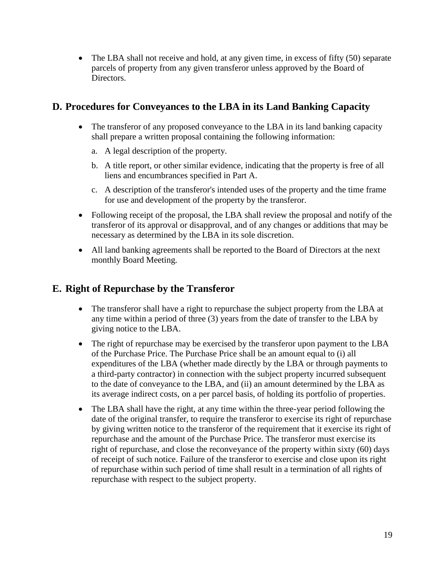• The LBA shall not receive and hold, at any given time, in excess of fifty (50) separate parcels of property from any given transferor unless approved by the Board of Directors.

## <span id="page-18-0"></span>**D. Procedures for Conveyances to the LBA in its Land Banking Capacity**

- The transferor of any proposed conveyance to the LBA in its land banking capacity shall prepare a written proposal containing the following information:
	- a. A legal description of the property.
	- b. A title report, or other similar evidence, indicating that the property is free of all liens and encumbrances specified in Part A.
	- c. A description of the transferor's intended uses of the property and the time frame for use and development of the property by the transferor.
- Following receipt of the proposal, the LBA shall review the proposal and notify of the transferor of its approval or disapproval, and of any changes or additions that may be necessary as determined by the LBA in its sole discretion.
- All land banking agreements shall be reported to the Board of Directors at the next monthly Board Meeting.

#### <span id="page-18-1"></span>**E. Right of Repurchase by the Transferor**

- The transferor shall have a right to repurchase the subject property from the LBA at any time within a period of three (3) years from the date of transfer to the LBA by giving notice to the LBA.
- The right of repurchase may be exercised by the transferor upon payment to the LBA of the Purchase Price. The Purchase Price shall be an amount equal to (i) all expenditures of the LBA (whether made directly by the LBA or through payments to a third-party contractor) in connection with the subject property incurred subsequent to the date of conveyance to the LBA, and (ii) an amount determined by the LBA as its average indirect costs, on a per parcel basis, of holding its portfolio of properties.
- The LBA shall have the right, at any time within the three-year period following the date of the original transfer, to require the transferor to exercise its right of repurchase by giving written notice to the transferor of the requirement that it exercise its right of repurchase and the amount of the Purchase Price. The transferor must exercise its right of repurchase, and close the reconveyance of the property within sixty (60) days of receipt of such notice. Failure of the transferor to exercise and close upon its right of repurchase within such period of time shall result in a termination of all rights of repurchase with respect to the subject property.